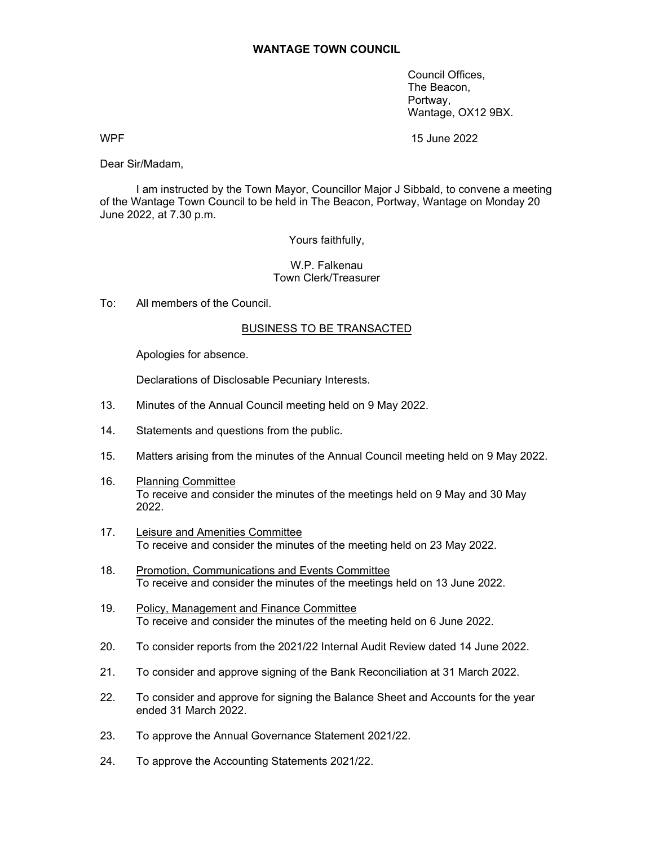Council Offices, The Beacon, Portway, Wantage, OX12 9BX.

WPF 2022

Dear Sir/Madam,

 I am instructed by the Town Mayor, Councillor Major J Sibbald, to convene a meeting of the Wantage Town Council to be held in The Beacon, Portway, Wantage on Monday 20 June 2022, at 7.30 p.m.

Yours faithfully,

## W.P. Falkenau Town Clerk/Treasurer

To: All members of the Council.

## BUSINESS TO BE TRANSACTED

Apologies for absence.

Declarations of Disclosable Pecuniary Interests.

- 13. Minutes of the Annual Council meeting held on 9 May 2022.
- 14. Statements and questions from the public.
- 15. Matters arising from the minutes of the Annual Council meeting held on 9 May 2022.
- 16. Planning Committee To receive and consider the minutes of the meetings held on 9 May and 30 May 2022.
- 17. Leisure and Amenities Committee To receive and consider the minutes of the meeting held on 23 May 2022.
- 18. Promotion, Communications and Events Committee To receive and consider the minutes of the meetings held on 13 June 2022.
- 19. Policy, Management and Finance Committee To receive and consider the minutes of the meeting held on 6 June 2022.
- 20. To consider reports from the 2021/22 Internal Audit Review dated 14 June 2022.
- 21. To consider and approve signing of the Bank Reconciliation at 31 March 2022.
- 22. To consider and approve for signing the Balance Sheet and Accounts for the year ended 31 March 2022.
- 23. To approve the Annual Governance Statement 2021/22.
- 24. To approve the Accounting Statements 2021/22.